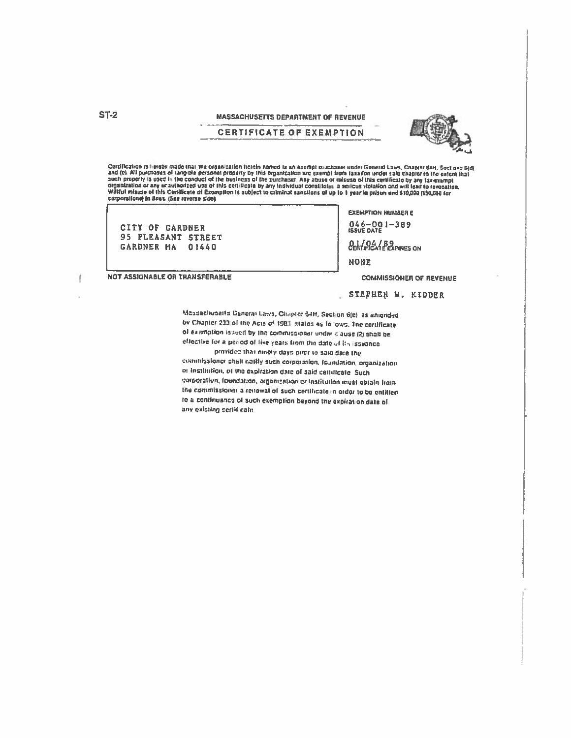Certification is hereby made that the organization herein named is an exempt guidnaser under Goneral Laws, Chaptor 64H, Sections 6(d)<br>and (c). All purchases of tangible personal property by this organization are exempt fro corporations) in tines. (See reverse side).

CITY OF GARDNER 95 PLEASANT STREET GARDNER MA 01440

NOT ASSIGNABLE OR TRANSFERABLE

**EXEMPTION NUMBER E**  $046 - 001 - 389$ <br>ISSVE DATE **CERTIFICATE EXPIRES ON NONE** 

**COMMISSIONER OF REVENUE** 

STEPHEN W. KIDDER

Massachusetts General Laws, Chiptor 54H, Section 6(e), as aniended by Chapter 233 of the Acts of 1983, states as follows. The certificate of examption issued by the commissional under it ause (2) shall be effective for a period of live years from the date of its issuance

provided that ninely days pilot to said date the commissioner shall notify such corporation, foundation, organization or institution, of the expiration date of said certificate. Such corporation, foundation, organization or institution inust obtain from the commissioner a renewal of such certificate in order to be entitled to a continuance of such exemption beyond the expiration date of any existing seriif cate.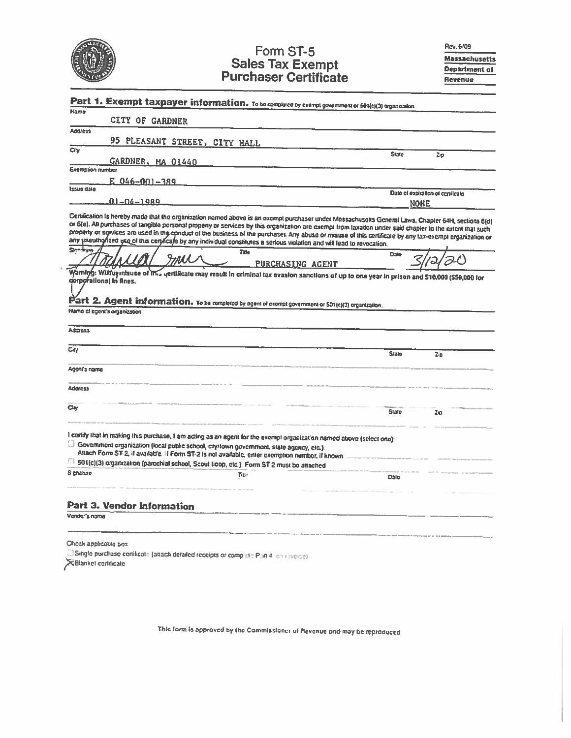|                                       | Form ST-5                                                                                                                                                                                                                                                                                                                                                                                                                                                                                                                                                                                              |             | Rev. 6/09<br><b>Massachusetts</b> |
|---------------------------------------|--------------------------------------------------------------------------------------------------------------------------------------------------------------------------------------------------------------------------------------------------------------------------------------------------------------------------------------------------------------------------------------------------------------------------------------------------------------------------------------------------------------------------------------------------------------------------------------------------------|-------------|-----------------------------------|
|                                       | <b>Sales Tax Exempt</b>                                                                                                                                                                                                                                                                                                                                                                                                                                                                                                                                                                                |             | Department of                     |
|                                       | <b>Purchaser Certificate</b>                                                                                                                                                                                                                                                                                                                                                                                                                                                                                                                                                                           |             | Revenue                           |
|                                       | Part 1. Exempt taxpayer information. To be completed by exempt government or 501(c)(3) organization.                                                                                                                                                                                                                                                                                                                                                                                                                                                                                                   |             |                                   |
| Name                                  |                                                                                                                                                                                                                                                                                                                                                                                                                                                                                                                                                                                                        |             |                                   |
| CITY OF GARDNER                       |                                                                                                                                                                                                                                                                                                                                                                                                                                                                                                                                                                                                        |             |                                   |
| <b>Address</b>                        | 95 PLEASANT STREET, CITY HALL                                                                                                                                                                                                                                                                                                                                                                                                                                                                                                                                                                          |             |                                   |
| Chy                                   |                                                                                                                                                                                                                                                                                                                                                                                                                                                                                                                                                                                                        | State       | Zp                                |
| GARDNER, MA 01440<br>Exemption number |                                                                                                                                                                                                                                                                                                                                                                                                                                                                                                                                                                                                        |             |                                   |
| $E$ 046-001-389                       |                                                                                                                                                                                                                                                                                                                                                                                                                                                                                                                                                                                                        |             |                                   |
| <b>Issue dale</b>                     |                                                                                                                                                                                                                                                                                                                                                                                                                                                                                                                                                                                                        |             | Date of expiration of contilicate |
| 01-04-1989                            |                                                                                                                                                                                                                                                                                                                                                                                                                                                                                                                                                                                                        | <b>NONE</b> |                                   |
|                                       | Certification is hereby made that the organization named above is an exempt purchaser under Massachusotts General Laws, Chapler 64H, sections 6(d)<br>or 6(e). All purchases of tangible personal property or services by this organization are exempt from taxation under said chapter to the extent that such<br>property or services are used in the conduct of the business of the purchaser. Any abuse or misuse of this certificale by any tax-exempt organization or<br>any unauthorized use of this ceruificate by any individual constitutes a serious violation and will lead to revocation. |             |                                   |
|                                       |                                                                                                                                                                                                                                                                                                                                                                                                                                                                                                                                                                                                        |             |                                   |
| Sinn frum<br>corporations) in fines.  | Title<br>Imi<br><b>PURCHASING AGENT</b><br>Warning: Williuviniause of Into yerulicate may result in criminal tax evasion sanctions of up to one year in prison and \$10,000 (\$50,000 for                                                                                                                                                                                                                                                                                                                                                                                                              | Date        |                                   |
| Name of egent's organization          | $P$ art 2. Agent information. To be completed by agent of exampt government or 501(c)(3) organization.                                                                                                                                                                                                                                                                                                                                                                                                                                                                                                 |             |                                   |
| Address                               |                                                                                                                                                                                                                                                                                                                                                                                                                                                                                                                                                                                                        |             |                                   |
| Cily                                  |                                                                                                                                                                                                                                                                                                                                                                                                                                                                                                                                                                                                        | State       | Zm                                |
| Agent's name                          |                                                                                                                                                                                                                                                                                                                                                                                                                                                                                                                                                                                                        |             |                                   |
| Address                               |                                                                                                                                                                                                                                                                                                                                                                                                                                                                                                                                                                                                        |             |                                   |
| Ciy                                   |                                                                                                                                                                                                                                                                                                                                                                                                                                                                                                                                                                                                        | Stato       | $2\phi$                           |
|                                       | I certify that in making this purchase, I am acting as an agent for the exempl organization named above (select one):<br>[3] Government organization (local public school, city/lown government, state agency, etc.).<br>Altach Form ST-2, if available. If Form ST-2 is not available, enter exemption number, if known                                                                                                                                                                                                                                                                               |             |                                   |
| S gnature                             | 501(c)(3) organization (parochial school, Scout troop, etc.). Form ST-2 must be attached<br>Title:                                                                                                                                                                                                                                                                                                                                                                                                                                                                                                     |             |                                   |
|                                       |                                                                                                                                                                                                                                                                                                                                                                                                                                                                                                                                                                                                        | Date        |                                   |

Check applicable sox.

El Single purchase certificate (attach detailed receipts or complete Port 4, on identical X Blankel cortilicate

This form is approved by the Commissioner of Revenue and may be reproduced